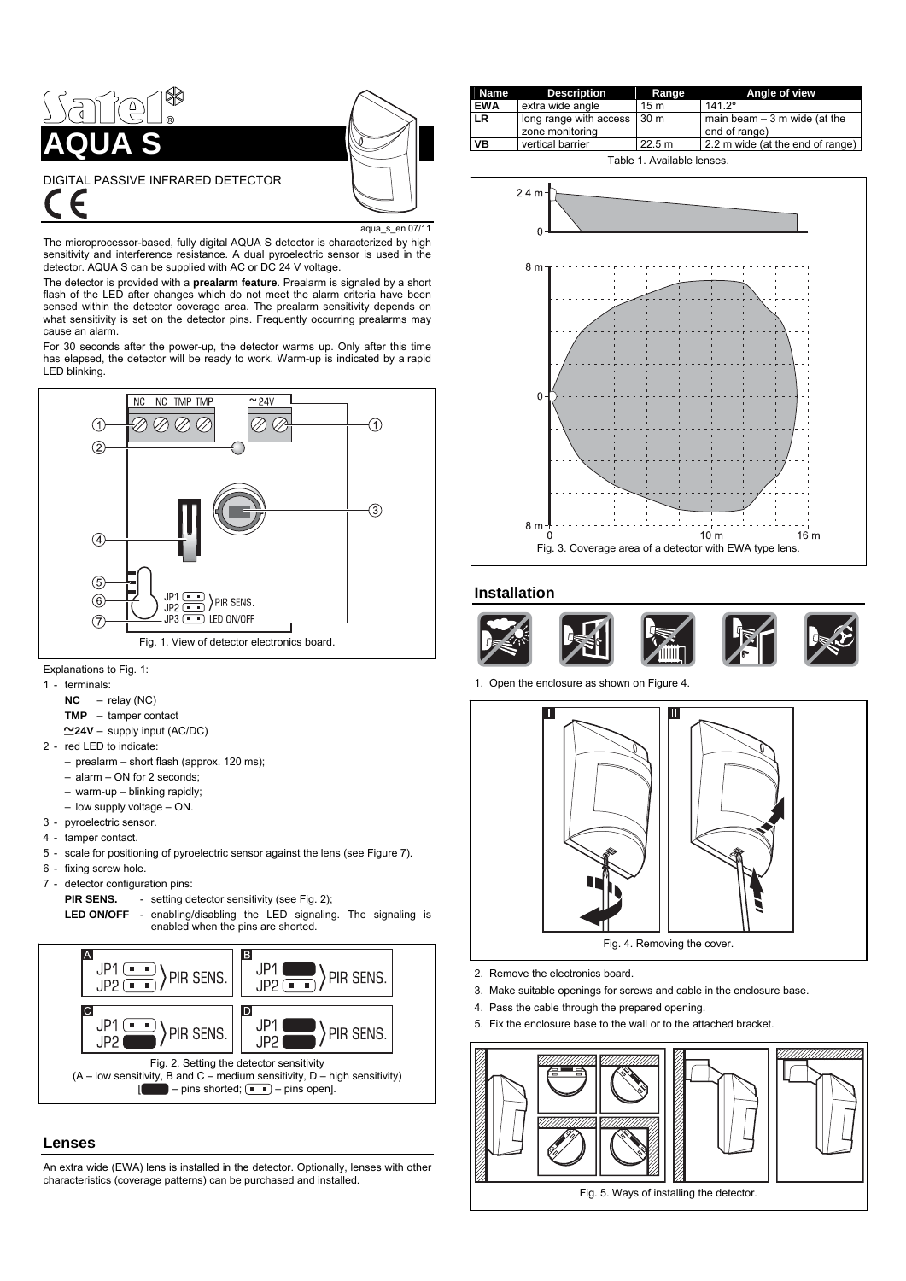<span id="page-0-0"></span>

#### $en$  07/11

The microprocessor-based, fully digital AQUA S detector is characterized by high sensitivity and interference resistance. A dual pyroelectric sensor is used in the detector. AQUA S can be supplied with AC or DC 24 V voltage.

The detector is provided with a **prealarm feature**. Prealarm is signaled by a short flash of the LED after changes which do not meet the alarm criteria have been sensed within the detector coverage area. The prealarm sensitivity depends on what sensitivity is set on the detector pins. Frequently occurring prealarms may cause an alarm.

For 30 seconds after the power-up, the detector warms up. Only after this time has elapsed, the detector will be ready to work. Warm-up is indicated by a rapid LED blinking.



- Explanations to Fig. 1:
- 1 terminals:
	- **NC** relay (NC)
	- **TMP** tamper contact
	- **24V** supply input (AC/DC)
- 2 red LED to indicate:
	- prealarm short flash (approx. 120 ms);
	- alarm ON for 2 seconds;
	- warm-up blinking rapidly;
	- low supply voltage ON.
- 3 pyroelectric sensor.
- 4 tamper contact.
- 5 scale for positioning of pyroelectric sensor against the lens (see Figure [7](#page-1-0)).
- 6 fixing screw hole.
- 7 detector configuration pins:
	- **PIR SENS.** setting detector sensitivity (see Fig. [2](#page-0-0));
	- **LED ON/OFF** enabling/disabling the LED signaling. The signaling is enabled when the pins are shorted.



## **Lenses**

An extra wide (EWA) lens is installed in the detector. Optionally, lenses with other characteristics (coverage patterns) can be purchased and installed.

| Name       | <b>Description</b>                        | Range           | Angle of view                                  |  |
|------------|-------------------------------------------|-----------------|------------------------------------------------|--|
| <b>EWA</b> | extra wide angle                          | 15 <sub>m</sub> | $141.2^{\circ}$                                |  |
| LR.        | long range with access<br>zone monitoring | 30 <sub>m</sub> | main beam $-3$ m wide (at the<br>end of range) |  |
| VB         | vertical barrier                          | 22.5 m          | 2.2 m wide (at the end of range)               |  |
| _          |                                           |                 |                                                |  |





### **Installation**



1. Open the enclosure as shown on Figure [4.](#page-0-0)



- 2. Remove the electronics board.
- 3. Make suitable openings for screws and cable in the enclosure base.
- 4. Pass the cable through the prepared opening.
- 5. Fix the enclosure base to the wall or to the attached bracket.